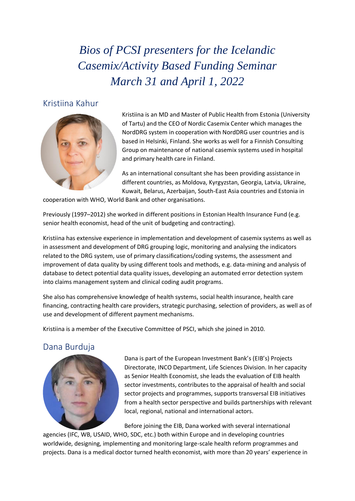*Bios of PCSI presenters for the Icelandic Casemix/Activity Based Funding Seminar March 31 and April 1, 2022*

## Kristiina Kahur



Kristiina is an MD and Master of Public Health from Estonia (University of Tartu) and the CEO of Nordic Casemix Center which manages the NordDRG system in cooperation with NordDRG user countries and is based in Helsinki, Finland. She works as well for a Finnish Consulting Group on maintenance of national casemix systems used in hospital and primary health care in Finland.

As an international consultant she has been providing assistance in different countries, as Moldova, Kyrgyzstan, Georgia, Latvia, Ukraine, Kuwait, Belarus, Azerbaijan, South-East Asia countries and Estonia in

cooperation with WHO, World Bank and other organisations.

Previously (1997–2012) she worked in different positions in Estonian Health Insurance Fund (e.g. senior health economist, head of the unit of budgeting and contracting).

Kristiina has extensive experience in implementation and development of casemix systems as well as in assessment and development of DRG grouping logic, monitoring and analysing the indicators related to the DRG system, use of primary classifications/coding systems, the assessment and improvement of data quality by using different tools and methods, e.g. data-mining and analysis of database to detect potential data quality issues, developing an automated error detection system into claims management system and clinical coding audit programs.

She also has comprehensive knowledge of health systems, social health insurance, health care financing, contracting health care providers, strategic purchasing, selection of providers, as well as of use and development of different payment mechanisms.

Kristiina is a member of the Executive Committee of PSCI, which she joined in 2010.

# Dana Burduja



Dana is part of the European Investment Bank's (EIB's) Projects Directorate, INCO Department, Life Sciences Division. In her capacity as Senior Health Economist, she leads the evaluation of EIB health sector investments, contributes to the appraisal of health and social sector projects and programmes, supports transversal EIB initiatives from a health sector perspective and builds partnerships with relevant local, regional, national and international actors.

Before joining the EIB, Dana worked with several international

agencies (IFC, WB, USAID, WHO, SDC, etc.) both within Europe and in developing countries worldwide, designing, implementing and monitoring large-scale health reform programmes and projects. Dana is a medical doctor turned health economist, with more than 20 years' experience in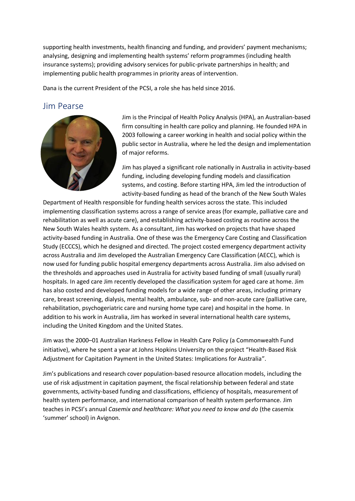supporting health investments, health financing and funding, and providers' payment mechanisms; analysing, designing and implementing health systems' reform programmes (including health insurance systems); providing advisory services for public-private partnerships in health; and implementing public health programmes in priority areas of intervention.

Dana is the current President of the PCSI, a role she has held since 2016.

## Jim Pearse



Jim is the Principal of Health Policy Analysis (HPA), an Australian-based firm consulting in health care policy and planning. He founded HPA in 2003 following a career working in health and social policy within the public sector in Australia, where he led the design and implementation of major reforms.

Jim has played a significant role nationally in Australia in activity-based funding, including developing funding models and classification systems, and costing. Before starting HPA, Jim led the introduction of activity-based funding as head of the branch of the New South Wales

Department of Health responsible for funding health services across the state. This included implementing classification systems across a range of service areas (for example, palliative care and rehabilitation as well as acute care), and establishing activity-based costing as routine across the New South Wales health system. As a consultant, Jim has worked on projects that have shaped activity-based funding in Australia. One of these was the Emergency Care Costing and Classification Study (ECCCS), which he designed and directed. The project costed emergency department activity across Australia and Jim developed the Australian Emergency Care Classification (AECC), which is now used for funding public hospital emergency departments across Australia. Jim also advised on the thresholds and approaches used in Australia for activity based funding of small (usually rural) hospitals. In aged care Jim recently developed the classification system for aged care at home. Jim has also costed and developed funding models for a wide range of other areas, including primary care, breast screening, dialysis, mental health, ambulance, sub- and non-acute care (palliative care, rehabilitation, psychogeriatric care and nursing home type care) and hospital in the home. In addition to his work in Australia, Jim has worked in several international health care systems, including the United Kingdom and the United States.

Jim was the 2000–01 Australian Harkness Fellow in Health Care Policy (a Commonwealth Fund initiative), where he spent a year at Johns Hopkins University on the project "Health-Based Risk Adjustment for Capitation Payment in the United States: Implications for Australia".

Jim's publications and research cover population-based resource allocation models, including the use of risk adjustment in capitation payment, the fiscal relationship between federal and state governments, activity-based funding and classifications, efficiency of hospitals, measurement of health system performance, and international comparison of health system performance. Jim teaches in PCSI's annual *Casemix and healthcare: What you need to know and do* (the casemix 'summer' school) in Avignon.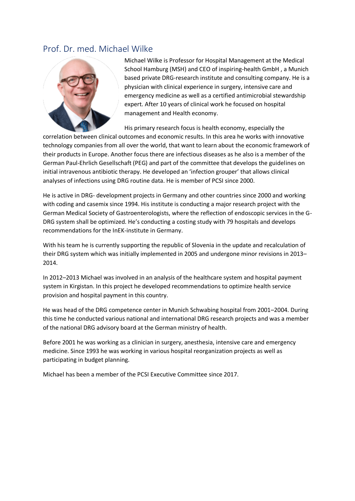### Prof. Dr. med. Michael Wilke



Michael Wilke is Professor for Hospital Management at the Medical School Hamburg (MSH) and CEO of inspiring-health GmbH , a Munich based private DRG-research institute and consulting company. He is a physician with clinical experience in surgery, intensive care and emergency medicine as well as a certified antimicrobial stewardship expert. After 10 years of clinical work he focused on hospital management and Health economy.

His primary research focus is health economy, especially the

correlation between clinical outcomes and economic results. In this area he works with innovative technology companies from all over the world, that want to learn about the economic framework of their products in Europe. Another focus there are infectious diseases as he also is a member of the German Paul-Ehrlich Gesellschaft (PEG) and part of the committee that develops the guidelines on initial intravenous antibiotic therapy. He developed an 'infection grouper' that allows clinical analyses of infections using DRG routine data. He is member of PCSI since 2000.

He is active in DRG- development projects in Germany and other countries since 2000 and working with coding and casemix since 1994. His institute is conducting a major research project with the German Medical Society of Gastroenterologists, where the reflection of endoscopic services in the G-DRG system shall be optimized. He's conducting a costing study with 79 hospitals and develops recommendations for the InEK-institute in Germany.

With his team he is currently supporting the republic of Slovenia in the update and recalculation of their DRG system which was initially implemented in 2005 and undergone minor revisions in 2013– 2014.

In 2012–2013 Michael was involved in an analysis of the healthcare system and hospital payment system in Kirgistan. In this project he developed recommendations to optimize health service provision and hospital payment in this country.

He was head of the DRG competence center in Munich Schwabing hospital from 2001–2004. During this time he conducted various national and international DRG research projects and was a member of the national DRG advisory board at the German ministry of health.

Before 2001 he was working as a clinician in surgery, anesthesia, intensive care and emergency medicine. Since 1993 he was working in various hospital reorganization projects as well as participating in budget planning.

Michael has been a member of the PCSI Executive Committee since 2017.